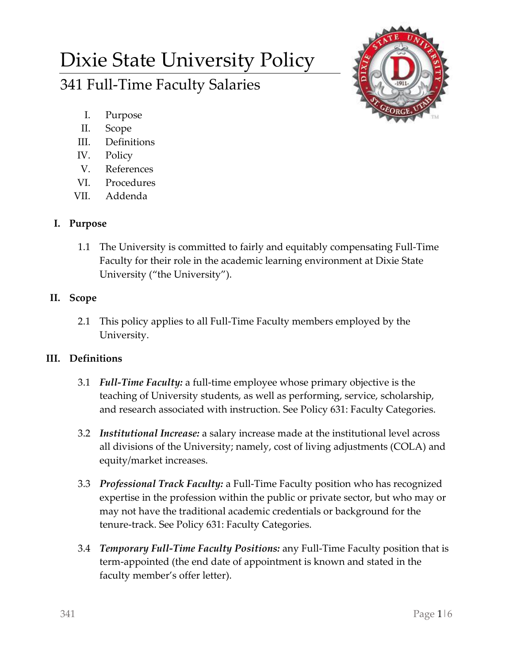# Dixie State University Policy 341 Full-Time Faculty Salaries



- I. Purpose
- II. Scope
- III. Definitions
- IV. Policy
- V. References
- VI. Procedures
- VII. Addenda

# **I. Purpose**

1.1 The University is committed to fairly and equitably compensating Full-Time Faculty for their role in the academic learning environment at Dixie State University ("the University").

# **II. Scope**

2.1 This policy applies to all Full-Time Faculty members employed by the University.

## **III. Definitions**

- 3.1 *Full-Time Faculty:* a full-time employee whose primary objective is the teaching of University students, as well as performing, service, scholarship, and research associated with instruction. See Policy 631: Faculty Categories.
- 3.2 *Institutional Increase:* a salary increase made at the institutional level across all divisions of the University; namely, cost of living adjustments (COLA) and equity/market increases.
- 3.3 *Professional Track Faculty:* a Full-Time Faculty position who has recognized expertise in the profession within the public or private sector, but who may or may not have the traditional academic credentials or background for the tenure-track. See Policy 631: Faculty Categories.
- 3.4 *Temporary Full-Time Faculty Positions:* any Full-Time Faculty position that is term-appointed (the end date of appointment is known and stated in the faculty member's offer letter).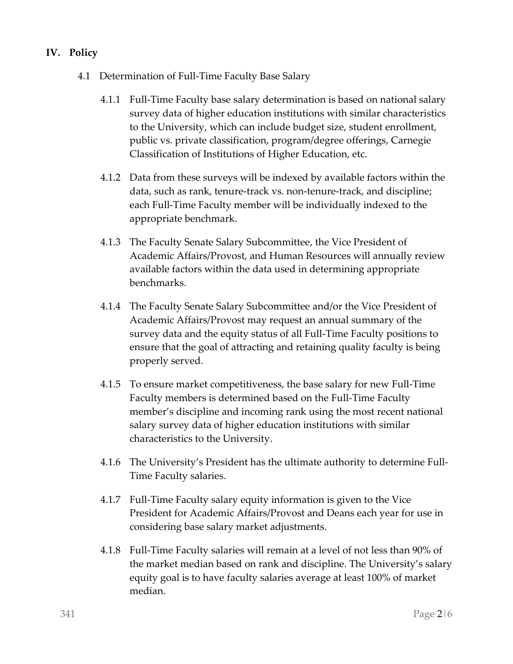## **IV. Policy**

- 4.1 Determination of Full-Time Faculty Base Salary
	- 4.1.1 Full-Time Faculty base salary determination is based on national salary survey data of higher education institutions with similar characteristics to the University, which can include budget size, student enrollment, public vs. private classification, program/degree offerings, Carnegie Classification of Institutions of Higher Education, etc.
	- 4.1.2 Data from these surveys will be indexed by available factors within the data, such as rank, tenure-track vs. non-tenure-track, and discipline; each Full-Time Faculty member will be individually indexed to the appropriate benchmark.
	- 4.1.3 The Faculty Senate Salary Subcommittee, the Vice President of Academic Affairs/Provost, and Human Resources will annually review available factors within the data used in determining appropriate benchmarks.
	- 4.1.4 The Faculty Senate Salary Subcommittee and/or the Vice President of Academic Affairs/Provost may request an annual summary of the survey data and the equity status of all Full-Time Faculty positions to ensure that the goal of attracting and retaining quality faculty is being properly served.
	- 4.1.5 To ensure market competitiveness, the base salary for new Full-Time Faculty members is determined based on the Full-Time Faculty member's discipline and incoming rank using the most recent national salary survey data of higher education institutions with similar characteristics to the University.
	- 4.1.6 The University's President has the ultimate authority to determine Full-Time Faculty salaries.
	- 4.1.7 Full-Time Faculty salary equity information is given to the Vice President for Academic Affairs/Provost and Deans each year for use in considering base salary market adjustments.
	- 4.1.8 Full-Time Faculty salaries will remain at a level of not less than 90% of the market median based on rank and discipline. The University's salary equity goal is to have faculty salaries average at least 100% of market median.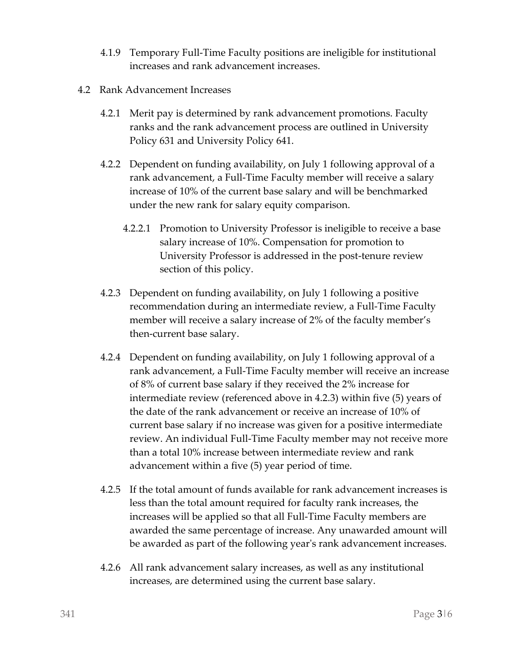- 4.1.9 Temporary Full-Time Faculty positions are ineligible for institutional increases and rank advancement increases.
- 4.2 Rank Advancement Increases
	- 4.2.1 Merit pay is determined by rank advancement promotions. Faculty ranks and the rank advancement process are outlined in University Policy 631 and University Policy 641.
	- 4.2.2 Dependent on funding availability, on July 1 following approval of a rank advancement, a Full-Time Faculty member will receive a salary increase of 10% of the current base salary and will be benchmarked under the new rank for salary equity comparison.
		- 4.2.2.1 Promotion to University Professor is ineligible to receive a base salary increase of 10%. Compensation for promotion to University Professor is addressed in the post-tenure review section of this policy.
	- 4.2.3 Dependent on funding availability, on July 1 following a positive recommendation during an intermediate review, a Full-Time Faculty member will receive a salary increase of 2% of the faculty member's then-current base salary.
	- 4.2.4 Dependent on funding availability, on July 1 following approval of a rank advancement, a Full-Time Faculty member will receive an increase of 8% of current base salary if they received the 2% increase for intermediate review (referenced above in 4.2.3) within five (5) years of the date of the rank advancement or receive an increase of 10% of current base salary if no increase was given for a positive intermediate review. An individual Full-Time Faculty member may not receive more than a total 10% increase between intermediate review and rank advancement within a five (5) year period of time.
	- 4.2.5 If the total amount of funds available for rank advancement increases is less than the total amount required for faculty rank increases, the increases will be applied so that all Full-Time Faculty members are awarded the same percentage of increase. Any unawarded amount will be awarded as part of the following year's rank advancement increases.
	- 4.2.6 All rank advancement salary increases, as well as any institutional increases, are determined using the current base salary.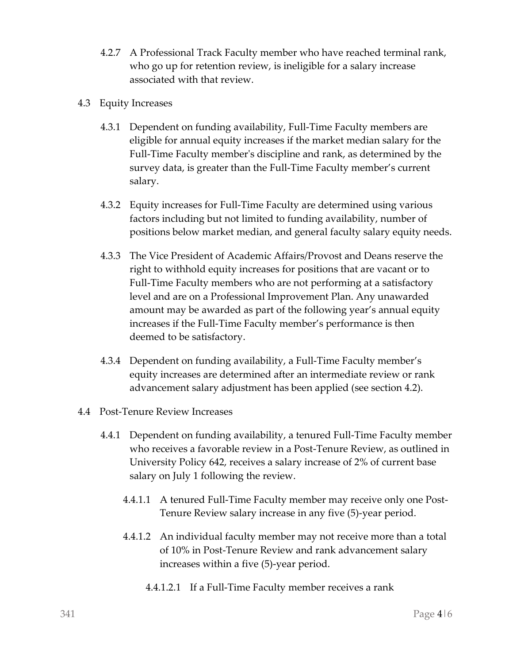- 4.2.7 A Professional Track Faculty member who have reached terminal rank, who go up for retention review, is ineligible for a salary increase associated with that review.
- 4.3 Equity Increases
	- 4.3.1 Dependent on funding availability, Full-Time Faculty members are eligible for annual equity increases if the market median salary for the Full-Time Faculty member's discipline and rank, as determined by the survey data, is greater than the Full-Time Faculty member's current salary.
	- 4.3.2 Equity increases for Full-Time Faculty are determined using various factors including but not limited to funding availability, number of positions below market median, and general faculty salary equity needs.
	- 4.3.3 The Vice President of Academic Affairs/Provost and Deans reserve the right to withhold equity increases for positions that are vacant or to Full-Time Faculty members who are not performing at a satisfactory level and are on a Professional Improvement Plan. Any unawarded amount may be awarded as part of the following year's annual equity increases if the Full-Time Faculty member's performance is then deemed to be satisfactory.
	- 4.3.4 Dependent on funding availability, a Full-Time Faculty member's equity increases are determined after an intermediate review or rank advancement salary adjustment has been applied (see section 4.2).
- 4.4 Post-Tenure Review Increases
	- 4.4.1 Dependent on funding availability, a tenured Full-Time Faculty member who receives a favorable review in a Post-Tenure Review, as outlined in University Policy 642, receives a salary increase of 2% of current base salary on July 1 following the review.
		- 4.4.1.1 A tenured Full-Time Faculty member may receive only one Post-Tenure Review salary increase in any five (5)-year period.
		- 4.4.1.2 An individual faculty member may not receive more than a total of 10% in Post-Tenure Review and rank advancement salary increases within a five (5)-year period.
			- 4.4.1.2.1 If a Full-Time Faculty member receives a rank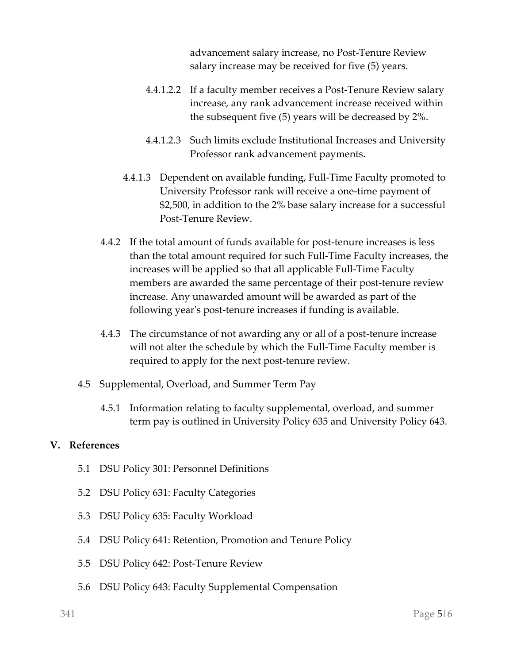advancement salary increase, no Post-Tenure Review salary increase may be received for five (5) years.

- 4.4.1.2.2 If a faculty member receives a Post-Tenure Review salary increase, any rank advancement increase received within the subsequent five (5) years will be decreased by 2%.
- 4.4.1.2.3 Such limits exclude Institutional Increases and University Professor rank advancement payments.
- 4.4.1.3 Dependent on available funding, Full-Time Faculty promoted to University Professor rank will receive a one-time payment of \$2,500, in addition to the 2% base salary increase for a successful Post-Tenure Review.
- 4.4.2 If the total amount of funds available for post-tenure increases is less than the total amount required for such Full-Time Faculty increases, the increases will be applied so that all applicable Full-Time Faculty members are awarded the same percentage of their post-tenure review increase. Any unawarded amount will be awarded as part of the following year's post-tenure increases if funding is available.
- 4.4.3 The circumstance of not awarding any or all of a post-tenure increase will not alter the schedule by which the Full-Time Faculty member is required to apply for the next post-tenure review.
- 4.5 Supplemental, Overload, and Summer Term Pay
	- 4.5.1 Information relating to faculty supplemental, overload, and summer term pay is outlined in University Policy 635 and University Policy 643.

#### **V. References**

- 5.1 DSU Policy 301: Personnel Definitions
- 5.2 DSU Policy 631: Faculty Categories
- 5.3 DSU Policy 635: Faculty Workload
- 5.4 DSU Policy 641: Retention, Promotion and Tenure Policy
- 5.5 DSU Policy 642: Post-Tenure Review
- 5.6 DSU Policy 643: Faculty Supplemental Compensation